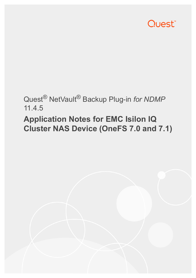

## Quest® NetVault® Backup Plug-in *for NDMP* 11.4.5

# **Application Notes for EMC Isilon IQ Cluster NAS Device (OneFS 7.0 and 7.1)**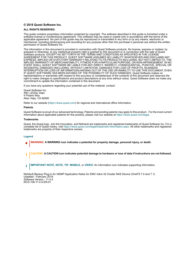#### **© 2018 Quest Software Inc.**

#### **ALL RIGHTS RESERVED.**

This guide contains proprietary information protected by copyright. The software described in this guide is furnished under a software license or nondisclosure agreement. This software may be used or copied only in accordance with the terms of the applicable agreement. No part of this guide may be reproduced or transmitted in any form or by any means, electronic or mechanical, including photocopying and recording for any purpose other than the purchaser's personal use without the written permission of Quest Software Inc.

The information in this document is provided in connection with Quest Software products. No license, express or implied, by estoppel or otherwise, to any intellectual property right is granted by this document or in connection with the sale of Quest<br>Software products. EXCEPT AS SET FORTH IN THE TERMS AND CONDITIONS AS SPECIFIED IN THE LICENSE<br>A EXPRESS, IMPLIED OR STATUTORY WARRANTY RELATING TO ITS PRODUCTS INCLUDING, BUT NOT LIMITED TO, THE IMPLIED WARRANTY OF MERCHANTABILITY, FITNESS FOR A PARTICULAR PURPOSE, OR NON-INFRINGEMENT. IN NO EVENT SHALL QUEST SOFTWARE BE LIABLE FOR ANY DIRECT, INDIRECT, CONSEQUENTIAL, PUNITIVE, SPECIAL OR INCIDENTAL DAMAGES (INCLUDING, WITHOUT LIMITATION, DAMAGES FOR LOSS OF PROFITS, BUSINESS<br>INTERRUPTION OR LOSS OF INFORMATION) ARISING OUT OF THE USE OR INABILITY TO USE THIS DOCUMENT, EVEN IF QUEST SOFTWARE HAS BEEN ADVISED OF THE POSSIBILITY OF SUCH DAMAGES. Quest Software makes no representations or warranties with respect to the accuracy or completeness of the contents of this document and reserves the right to make changes to specifications and product descriptions at any time without notice. Quest Software does not make any commitment to update the information contained in this document.

If you have any questions regarding your potential use of this material, contact:

Quest Software Inc. Attn: LEGAL Dept. 4 Polaris Way Aliso Viejo, CA 92656

Refer to our website [\(https://www.quest.com](https://www.quest.com)) for regional and international office information.

#### **Patents**

Quest Software is proud of our advanced technology. Patents and pending patents may apply to this product. For the most current information about applicable patents for this product, please visit our website at [https://www.quest.com/legal.](https://www.quest.com/legal)

#### **Trademarks**

Quest, the Quest logo, Join the Innovation, and NetVault are trademarks and registered trademarks of Quest Software Inc. For a complete list of Quest marks, visit [https://www.quest.com/legal/trademark-information.aspx.](https://www.quest.com/legal/trademark-information.aspx) All other trademarks and registered trademarks are property of their respective owners.

#### **Legend**

- **WARNING: A WARNING icon indicates a potential for property damage, personal injury, or death.**
- **CAUTION: A CAUTION icon indicates potential damage to hardware or loss of data if instructions are not followed.** Ţ
- **IMPORTANT NOTE**, **NOTE**, **TIP**, **MOBILE**, or **VIDEO:** An information icon indicates supporting information.f.

NetVault Backup Plug-in *for NDMP* Application Notes for EMC Isilon IQ Cluster NAS Device (OneFS 7.0 and 7.1) Updated - February 2018 Software Version - 11.4.5 NCG-106-11.4.5-EN-01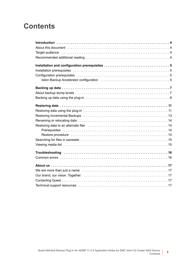### **Contents**

| Restore procedure influences in the contract of the contract of the contract of the contract of the contract of the contract of the contract of the contract of the contract of the contract of the contract of the contract o |
|--------------------------------------------------------------------------------------------------------------------------------------------------------------------------------------------------------------------------------|
|                                                                                                                                                                                                                                |
|                                                                                                                                                                                                                                |
|                                                                                                                                                                                                                                |
|                                                                                                                                                                                                                                |
|                                                                                                                                                                                                                                |
|                                                                                                                                                                                                                                |
|                                                                                                                                                                                                                                |
|                                                                                                                                                                                                                                |
|                                                                                                                                                                                                                                |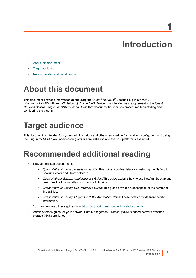# **Introduction**

**1**

**4**

- <span id="page-3-0"></span>**•** [About this document](#page-3-1)
- **•** [Target audience](#page-3-2)
- **•** [Recommended additional reading](#page-3-3)

# <span id="page-3-1"></span>**About this document**

This document provides information about using the Quest® NetVault® Backup Plug-in *for NDMP* (Plug-in *for NDMP*) with an EMC Isilon IQ Cluster NAS Device. It is intended as a supplement to the *Quest NetVault Backup Plug-in for NDMP User's Guide* that describes the common procedures for installing and configuring the plug-in.

# <span id="page-3-2"></span>**Target audience**

This document is intended for system administrators and others responsible for installing, configuring, and using the Plug-in *for NDMP*. An understanding of filer administration and the host platform is assumed.

## <span id="page-3-3"></span>**Recommended additional reading**

- **•** NetVault Backup documentation
	- **▪** *Quest NetVault Backup Installation Guide*: This guide provides details on installing the NetVault Backup Server and Client software.
	- **▪** *Quest NetVault Backup Administrator's Guide*: This guide explains how to use NetVault Backup and describes the functionality common to all plug-ins.
	- **▪** *Quest NetVault Backup CLI Reference Guide*: This guide provides a description of the commandline utilities.
	- **▪** *Quest NetVault Backup Plug-in for NDMPApplication Notes:* These notes provide filer-specific information.

You can download these guides from<https://support.quest.com/technical-documents>.

**•** Administrator's guide for your Network Data Management Protocol (NDMP)-based network-attached storage (NAS) appliance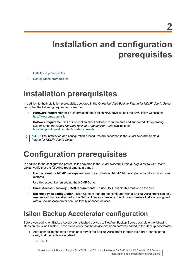# <span id="page-4-0"></span>**Installation and configuration prerequisites**

- **•** [Installation prerequisites](#page-4-1)
- **•** [Configuration prerequisites](#page-4-2)

## <span id="page-4-1"></span>**Installation prerequisites**

In addition to the installation prerequisites covered in the *Quest NetVault Backup Plug-in for NDMP User's Guide*, verify that the following requirements are met:

- **Hardware requirements:** For information about Isilon NAS devices, see the EMC Isilon website at: <http://www.emc.com/isilon>
- **Software requirements:** For information about software requirements and supported filer operating systems, see the *Quest NetVault Backup Compatibility Guide* available at: <https://support.quest.com/technical-documents>
- **NOTE:** The installation and configuration procedures are described in the *Quest NetVault Backup*  ÷ *Plug-in for NDMP User's Guide*.

# <span id="page-4-2"></span>**Configuration prerequisites**

In addition to the configuration prerequisites covered in the *Quest NetVault Backup Plug-in for NDMP User's Guide*, verify that the following requirements are met:

**• User account for NDMP backups and restores**: Create an NDMP Administrator account for backups and restores.

Use this account when adding the NDMP Server.

- **Direct Access Recovery (DAR) requirements:** To use DAR, enable this feature on the filer.
- **Backup device configuration:** Isilon Clusters that are not configured with a Backup Accelerator can only use devices that are attached to the NetVault Backup Server or Client. Isilon Clusters that are configured with a Backup Accelerator can use locally attached devices.

### <span id="page-4-3"></span>**Isilon Backup Accelerator configuration**

Before you add Isilon Backup Accelerator-attached devices to NetVault Backup Server, complete the following steps on the Isilon Cluster. These steps verify that the device has been correctly added to the Backup Accelerator:

1 After connecting the tape device or library to the Backup Accelerator through the Fibre Channel ports, verify that the ports are enabled:

isi fc ls

Quest NetVault Backup Plug-in *for NDMP* 11.4.5 Application Notes for EMC Isilon IQ Cluster NAS Device Installation and configuration prerequisites

**5**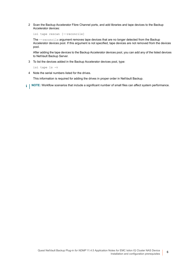2 Scan the Backup Accelerator Fibre Channel ports, and add libraries and tape devices to the Backup Accelerator devices:

isi tape rescan [--reconcile]

The --reconcile argument removes tape devices that are no longer detected from the Backup Accelerator devices pool. If this argument is not specified, tape devices are not removed from the devices pool.

After adding the tape devices to the Backup Accelerator devices pool, you can add any of the listed devices to NetVault Backup Server.

3 To list the devices added in the Backup Accelerator devices pool, type:

isi tape ls -v

4 Note the serial numbers listed for the drives.

This information is required for adding the drives in proper order in NetVault Backup.

**i** | NOTE: Workflow scenarios that include a significant number of small files can affect system performance.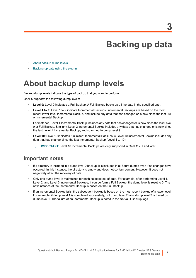# **Backing up data**

- <span id="page-6-0"></span>**•** [About backup dump levels](#page-6-1)
- **•** [Backing up data using the plug-in](#page-7-0)

## <span id="page-6-1"></span>**About backup dump levels**

Backup dump levels indicate the type of backup that you want to perform.

OneFS supports the following dump levels:

- **Level 0:** Level 0 indicates a Full Backup. A Full Backup backs up all the data in the specified path.
- **Level 1 to 9:** Level 1 to 9 indicate Incremental Backups. Incremental Backups are based on the most recent lower-level Incremental Backup, and include any data that has changed or is new since the last Full or Incremental Backup.

For instance, Level 1 Incremental Backup includes any data that has changed or is new since the last Level 0 or Full Backup. Similarly, Level 2 Incremental Backup includes any data that has changed or is new since the last Level 1 Incremental Backup, and so on, up to dump level 9.

**• Level 10:** Level 10 indicates "unlimited" Incremental Backups. A Level 10 Incremental Backup includes any data that has change since the last Incremental Backup (Level 1 to 10).

**IMPORTANT:** Level 10 Incremental Backups are only supported in OneFS 7.1 and later.i I

### **Important notes**

- **•** If a directory is included in a dump level 0 backup, it is included in all future dumps even if no changes have occurred. In this instance, the directory is empty and does not contain content. However, it does not negatively affect the recovery of data.
- **•** Only one dump level is maintained for each selected set of data. For example, after performing Level 1, Level 2, and Level 3 Incremental Backups, if you perform a Full Backup, the dump level is reset to 0. The next instance of the Incremental Backup is based on the Full Backup.
- **•** If an Incremental Backup fails, the subsequent backup is based on the most recent backup of a lower level. For example, if dump level 1 is completed successfully, but dump level 2 fails, dump level 3 is based on dump level 1. The failure of an Incremental Backup is noted in the NetVault Backup logs.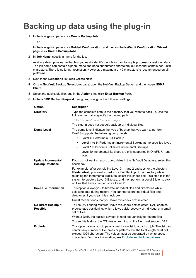# <span id="page-7-0"></span>**Backing up data using the plug-in**

1 In the Navigation pane, click **Create Backup Job**.

 $-$  or  $-$ 

In the Navigation pane, click **Guided Configuration**, and then on the **NetVault Configuration Wizard** page, click **Create Backup Jobs**.

2 In **Job Name**, specify a name for the job.

Assign a descriptive name that lets you easily identify the job for monitoring its progress or restoring data. The job name can contain alphanumeric and nonalphanumeric characters, but it cannot contain non-Latin characters. There is no length restriction. However, a maximum of 40 characters is recommended on all platforms.

- 3 Next to the **Selections** list, click **Create New**.
- 4 On the **NetVault Backup Selections** page, open the NetVault Backup Server, and then open **NDMP Client**.
- 5 Select the applicable filer, and in the **Actions** list, click **Enter Backup Path**.
- 6 In the **NDMP Backup Request** dialog box, configure the following settings.

| <b>Option</b>                                       | <b>Description</b>                                                                                                                                                                                                                                                                                                                                                 |  |
|-----------------------------------------------------|--------------------------------------------------------------------------------------------------------------------------------------------------------------------------------------------------------------------------------------------------------------------------------------------------------------------------------------------------------------------|--|
| <b>Directory</b>                                    | Type the complete path to the directory that you want to back up. Use the<br>following format to specify the backup path:                                                                                                                                                                                                                                          |  |
|                                                     | /ifs/data/ <named directory=""></named>                                                                                                                                                                                                                                                                                                                            |  |
|                                                     | The plug-in does not support back up of individual files.                                                                                                                                                                                                                                                                                                          |  |
| <b>Dump Level</b>                                   | The dump level indicates the type of backup that you want to perform.<br>OneFS supports the following dump levels:                                                                                                                                                                                                                                                 |  |
|                                                     | Level 0: Performs a Full Backup.                                                                                                                                                                                                                                                                                                                                   |  |
|                                                     | Level 1 to 9: Performs an Incremental Backup at the specified level.<br>$\bullet$                                                                                                                                                                                                                                                                                  |  |
|                                                     | Level 10: Performs unlimited Incremental Backups.                                                                                                                                                                                                                                                                                                                  |  |
|                                                     | Level 10 Incremental Backups are only supported in OneFS 7.1 and<br>later.                                                                                                                                                                                                                                                                                         |  |
| <b>Update Incremental</b><br><b>Backup Database</b> | If you do not want to record dump dates in the NetVault Database, select this<br>check box.                                                                                                                                                                                                                                                                        |  |
|                                                     | For example, after completing Level 0, 1, and 2 backups for the directory<br>lifs/data/test, you want to perform a Full Backup of the directory while<br>retaining the Incremental Backups, select this check box. This step tells the<br>system to create a Level 0 Backup, and then perform a Level 3 later to pick<br>up files that have changed since Level 2. |  |
| <b>Save File Information</b>                        | This option allows you to browse individual files and directories while<br>selecting data during restore. You cannot restore individual files and<br>directories if you clear this check box.                                                                                                                                                                      |  |
|                                                     | Quest recommends that you leave this check box selected.                                                                                                                                                                                                                                                                                                           |  |
| Do Direct Backup if<br><b>Possible</b>              | To use DAR during restores, leave this check box selected. DAR enables<br>precise tape positioning, which allows quick recovery of individual or a small<br>set of files.                                                                                                                                                                                          |  |
|                                                     | Without DAR, the backup saveset is read sequentially to restore files.                                                                                                                                                                                                                                                                                             |  |
|                                                     | To use this feature, the OS version running on the filer must support DAR.                                                                                                                                                                                                                                                                                         |  |
| <b>Exclude</b>                                      | This option allows you to pass an exclusion list to a backup job. The list can<br>contain any number of filenames or patterns, but the total length must not<br>exceed 1024 characters. The values must be separated by white-space<br>characters. For more information, see Exclude and Include patterns.                                                         |  |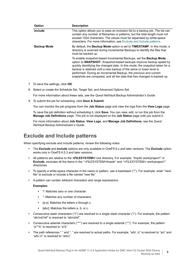| <b>Option</b>      | <b>Description</b>                                                                                                                                                                                                                                                                                                                                                                                                                                            |
|--------------------|---------------------------------------------------------------------------------------------------------------------------------------------------------------------------------------------------------------------------------------------------------------------------------------------------------------------------------------------------------------------------------------------------------------------------------------------------------------|
| Include            | This option allows you to pass an inclusion list to a backup job. The list can<br>contain any number of filenames or patterns, but the total length must not<br>exceed 1024 characters. The values must be separated by white-space<br>characters. For more information, see Exclude and Include patterns.                                                                                                                                                    |
| <b>Backup Mode</b> | By default, the <b>Backup Mode</b> option is set to <b>TIMESTAMP</b> . In this mode, a<br>directory is scanned during Incremental Backups to identify the files that<br>must be backed up.                                                                                                                                                                                                                                                                    |
|                    | To enable snapshot-based Incremental Backups, set the <b>Backup Mode</b><br>option to <b>SNAPSHOT</b> . Snapshot-based backups improve backup speed by<br>quickly identifying the changed data. In this mode, the snapshot taken for a<br>backup is retained until a new backup of the same or lower level is<br>performed. During an Incremental Backup, the previous and current<br>snapshots are compared, and all the data that has changed is backed up. |

- 7 To save the settings, click **OK**.
- 8 Select or create the Schedule Set, Target Set, and Advanced Options Set.

For more information about these sets, see the *Quest NetVault Backup Administrator's Guide*.

9 To submit the job for scheduling, click **Save & Submit**.

You can monitor the job progress from the **Job Status** page and view the logs from the **View Logs** page.

To save the job definition without scheduling it, click **Save**. You can view, edit, or run this job from the **Manage Job Definitions** page. This job is not displayed on the **Job Status** page until you submit it.

For more information about **Job Status**, **View Logs**, and **Manage Job Definitions**, see the *Quest NetVault Backup Administrator's Guide*.

### <span id="page-8-0"></span>**Exclude and Include patterns**

When specifying exclude and include patterns, review the following notes:

- **•** The **Exclude** and **Include** options are only available in OneFS 6.x and later versions. The **Exclude** option works only in OneFS 6.5.3 and later versions.
- **•** All patterns are relative to the *<FILESYSTEM>***/** root directory. For example, "tmpdir work/project1" in **Exclude**, excludes all the items in the "*<FILESYSTEM>*/tmpdir" and "*<FILESYSTEM>*/ work/project1" directories.
- **•** To specify a white-space character in the name or pattern, use a backslash ("\"). For example, enter "new\ file" to exclude or include a file named "new file".
- **•** A pattern can contain wildcard characters and range expressions.

### **Examples:**

- **▪** ?: Matches zero or one character.
- **▪** \*: Matches any number of characters.
- **▪** [a-z]: Matches the letters a through z.
- [abc]: Matches the letters a, b, or c.
- **•** Consecutive slash characters ("//") are resolved to a single slash character ("/"). For example, the pattern "ab//cd///ef" is resolved to "ab/cd/ef".
- **•** Consecutive asterisk characters ("\*\*") are resolved to a single asterisk ("\*")'. For example, the pattern "a\*\*\*b" is resolved to "a\*b"
- **•** The path references "." and ".." are resolved to actual paths. For example, "a/b/../c" is resolved to "a/c" and "a/b/./c" is resolved to "a/b/c".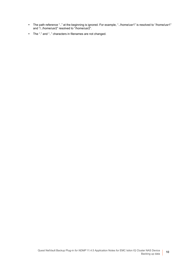- **•** The path reference ".." at the beginning is ignored. For example, "../home/usr1" is resolved to "/home/usr1" and "/../home/usr2" resolved to "/home/usr2".
- **•** The "." and ".." characters in filenames are not changed.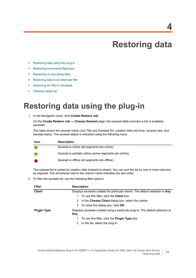# **Restoring data**

- <span id="page-10-0"></span>**•** [Restoring data using the plug-in](#page-10-1)
- **•** [Restoring Incremental Backups](#page-12-0)
- **•** [Renaming or relocating data](#page-13-0)
- **•** [Restoring data to an alternate filer](#page-13-1)
- **•** [Searching for files in savesets](#page-14-0)
- **•** [Viewing media list](#page-14-1)

## <span id="page-10-1"></span>**Restoring data using the plug-in**

<span id="page-10-2"></span>1 In the Navigation pane, click **Create Restore Job**.

On the **Create Restore Job — Choose Saveset** page, the saveset table provides a list of available savesets.

The table shows the saveset name (Job Title and Saveset ID), creation date and time, saveset size, and saveset status. The saveset status is indicated using the following icons.

| <b>Icon</b> | <b>Description</b>                                      |
|-------------|---------------------------------------------------------|
|             | Saveset is online (all segments are online).            |
|             | Saveset is partially online (some segments are online). |
|             | Saveset is offline (all segments are offline).          |

The saveset list is sorted by creation date (newest to oldest). You can sort the list by one or more columns, as required. The arrowhead next to the column name indicates the sort order.

2 To filter the saveset list, use the following filter options.

| <b>Filter</b>      | <b>Description</b>                                                              |
|--------------------|---------------------------------------------------------------------------------|
| <b>Client</b>      | Displays savesets created for particular clients. The default selection is Any. |
|                    | To use this filter, click the <b>Client</b> box.<br>1                           |
|                    | 2 In the Choose Client dialog box, select the clients.                          |
|                    | 3 To close the dialog box, click <b>OK</b> .                                    |
| <b>Plugin Type</b> | Displays savesets created using a particular plug-in. The default selection is  |
|                    | Any.                                                                            |
|                    | To use this filter, click the <b>Plugin Type</b> box.<br>1.                     |
|                    | 2 In the list, select the plug-in.                                              |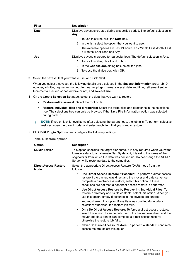| <b>Filter</b> | <b>Description</b>                                                                                    |  |  |
|---------------|-------------------------------------------------------------------------------------------------------|--|--|
| <b>Date</b>   | Displays savesets created during a specified period. The default selection is                         |  |  |
|               | Any.                                                                                                  |  |  |
|               | To use this filter, click the <b>Date</b> box.                                                        |  |  |
|               | In the list, select the option that you want to use.<br>2                                             |  |  |
|               | The available options are Last 24 hours, Last Week, Last Month, Last<br>6 Months, Last Year, and Any. |  |  |
| Job           | Displays savesets created for particular jobs. The default selection is Any.                          |  |  |
|               | To use this filter, click the <b>Job</b> box.                                                         |  |  |
|               | In the Choose Job dialog box, select the jobs.<br>2                                                   |  |  |
|               | To close the dialog box, click <b>OK</b> .<br>3                                                       |  |  |

3 Select the saveset that you want to use, and click **Next**.

When you select a saveset, the following details are displayed in the **Saveset Information** area: job ID number, job title, tag, server name, client name, plug-in name, saveset date and time, retirement setting, Incremental Backup or not, archive or not, and saveset size.

- <span id="page-11-0"></span>4 On the **Create Selection Set** page, select the data that you want to restore:
	- **▪ Restore entire saveset**: Select the root node.
	- **▪ Restore individual files and directories:** Select the target files and directories in the selections tree. The selections tree can only be browsed if the **Save File Information** option was selected during backup.
	- **i** | NOTE: If you omit child-level items after selecting the parent node, the job fails. To perform selective restores, open the parent node, and select each item that you want to restore.
- <span id="page-11-2"></span><span id="page-11-1"></span>5 Click **Edit Plugin Options**, and configure the following settings.

|  |  | Table 1. Restore options |  |
|--|--|--------------------------|--|
|--|--|--------------------------|--|

| <b>Option</b>                        | <b>Description</b>                                                                                                                                                                                                                                                                                |  |
|--------------------------------------|---------------------------------------------------------------------------------------------------------------------------------------------------------------------------------------------------------------------------------------------------------------------------------------------------|--|
| <b>NDMP Server</b>                   | This option specifies the target filer name. It is only required when you want<br>to restore data to an alternate filer. By default, it is set to the name of the<br>original filer from which the data was backed up. Do not change the NDMP<br>Server while restoring data to the same filer.   |  |
| <b>Direct Access Restore</b><br>Mode | Select the appropriate Direct Access Restore (DAR) mode from the<br>following:                                                                                                                                                                                                                    |  |
|                                      | <b>Use Direct Access Restore if Possible:</b> To perform a direct-access<br>$\bullet$<br>restore if the backup was direct and the mover and data server can<br>complete a direct-access restore, select this option. If these<br>conditions are not met, a nondirect-access restore is performed. |  |
|                                      | Use Direct Access Restore by Recovering Individual Files: To<br>$\bullet$<br>restore a directory and its file contents, select this option. When you<br>use this option, empty directories in the saveset are ignored.                                                                            |  |
|                                      | You must select this option if any item was omitted during data<br>selection; otherwise, the restore job fails.                                                                                                                                                                                   |  |
|                                      | <b>Only Do Direct Access Restore:</b> To force a direct-access restore,<br>select this option. It can be only used if the backup was direct and the<br>mover and data server can complete a direct-access restore;<br>otherwise the restore job fails.                                            |  |
|                                      | Never Do Direct Access Restore: To perform a standard nondirect-<br>$\bullet$<br>access restore, select this option.                                                                                                                                                                              |  |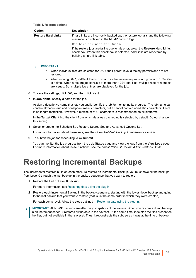**Table 1. Restore options**

|                                                                                                                                                                                                                                                                  | <b>Option</b>                                                                                                                                                                                                                                                                                                            | <b>Description</b>                                                                                                                                                                         |  |
|------------------------------------------------------------------------------------------------------------------------------------------------------------------------------------------------------------------------------------------------------------------|--------------------------------------------------------------------------------------------------------------------------------------------------------------------------------------------------------------------------------------------------------------------------------------------------------------------------|--------------------------------------------------------------------------------------------------------------------------------------------------------------------------------------------|--|
|                                                                                                                                                                                                                                                                  | <b>Restore Hard Links</b>                                                                                                                                                                                                                                                                                                | If hard links are incorrectly backed up, the restore job fails and the following<br>message is displayed in the NDMP backup logs:                                                          |  |
|                                                                                                                                                                                                                                                                  |                                                                                                                                                                                                                                                                                                                          | Bad hardlink path for <path></path>                                                                                                                                                        |  |
|                                                                                                                                                                                                                                                                  |                                                                                                                                                                                                                                                                                                                          | If the restore jobs are failing due to this error, select the Restore Hard Links<br>check box. When this check box is selected, hard links are recovered by<br>building a hard-link table. |  |
| <b>IMPORTANT:</b><br>i                                                                                                                                                                                                                                           |                                                                                                                                                                                                                                                                                                                          |                                                                                                                                                                                            |  |
|                                                                                                                                                                                                                                                                  | restored.                                                                                                                                                                                                                                                                                                                | When individual files are selected for DAR, their parent-level directory permissions are not                                                                                               |  |
| When running DAR, NetVault Backup organizes the restore requests into groups of 1024 files<br>at a time. When a restore job consists of more than 1024 total files, multiple restore requests<br>are issued. So, multiple log entries are displayed for the job. |                                                                                                                                                                                                                                                                                                                          |                                                                                                                                                                                            |  |
| 6                                                                                                                                                                                                                                                                | To save the settings, click OK, and then click Next.                                                                                                                                                                                                                                                                     |                                                                                                                                                                                            |  |
| 7                                                                                                                                                                                                                                                                | In <b>Job Name</b> , specify a name for the job.                                                                                                                                                                                                                                                                         |                                                                                                                                                                                            |  |
|                                                                                                                                                                                                                                                                  | Assign a descriptive name that lets you easily identify the job for monitoring its progress. The job name can<br>contain alphanumeric and nonalphanumeric characters, but it cannot contain non-Latin characters. There<br>is no length restriction. However, a maximum of 40 characters is recommended on all platforms |                                                                                                                                                                                            |  |

<span id="page-12-2"></span>In the **Target Client** list, the client from which data was backed up is selected by default. Do *not* change this setting.

8 Select or create the Schedule Set, Restore Source Set, and Advanced Options Set.

For more information about these sets, see the *Quest NetVault Backup Administrator's Guide*.

<span id="page-12-1"></span>9 To submit the job for scheduling, click **Submit**.

You can monitor the job progress from the **Job Status** page and view the logs from the **View Logs** page. For more information about these functions, see the *Quest NetVault Backup Administrator's Guide*.

## <span id="page-12-0"></span>**Restoring Incremental Backups**

The incremental restores build on each other. To restore an Incremental Backup, you must have all the backups from Level-0 through the last backup in the backup sequence that you want to restore.

1 Restore the Full or Level 0 Backup.

For more information, see [Restoring data using the plug-in](#page-10-1).

2 Restore each Incremental Backup in the backup sequence, starting with the lowest-level backup and going to the last backup that you want to restore (that is, in the same order in which they were created).

For each dump level, follow the steps outlined in [Restoring data using the plug-in.](#page-10-1)

**I IMPORTANT:** All NDMP backups are effectively snapshots of the volume. When you restore a dump backup in an increment series, it restores all the data in the saveset. At the same time, it deletes the files present on the filer, but not available in that saveset. Thus, it reconstructs the subtree as it was at the time of backup.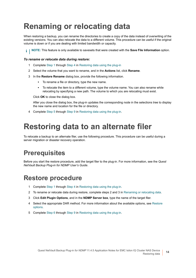# <span id="page-13-0"></span>**Renaming or relocating data**

When restoring a backup, you can rename the directories to create a copy of the data instead of overwriting of the existing versions. You can also relocate the data to a different volume. This procedure can be useful if the original volume is down or if you are dealing with limited bandwidth or capacity.

**i** | NOTE: This feature is only available to savesets that were created with the **Save File Information** option.

### *To rename or relocate data during restore:*

- 1 Complete [Step 1](#page-10-2) through [Step 4](#page-11-0) in [Restoring data using the plug-in](#page-10-1)
- 2 Select the volume that you want to rename, and in the **Actions** list, click **Rename**.
- 3 In the **Restore Rename** dialog box, provide the following information.
	- **▪** To rename a file or directory, type the new name.
	- **▪** To relocate the item to a different volume, type the volume name. You can also rename while relocating by specifying a new path. The volume to which you are relocating must exist.

Click **OK** to close the dialog box.

After you close the dialog box, the plug-in updates the corresponding node in the selections tree to display the new name and location for the file or directory.

4 Complete [Step 5](#page-11-1) through [Step 9](#page-12-1) in [Restoring data using the plug-in](#page-10-1).

### <span id="page-13-1"></span>**Restoring data to an alternate filer**

To relocate a backup to an alternate filer, use the following procedure. This procedure can be useful during a server migration or disaster recovery operation.

### <span id="page-13-2"></span>**Prerequisites**

Before you start the restore procedure, add the target filer to the plug-in. For more information, see the *Quest NetVault Backup Plug-in for NDMP User's Guide*.

### <span id="page-13-3"></span>**Restore procedure**

- 1 Complete [Step 1](#page-10-2) through [Step 4](#page-11-0) in [Restoring data using the plug-in](#page-10-1).
- 2 To rename or relocate data during restore, complete steps 2 and 3 in [Renaming or relocating data.](#page-13-0)
- 3 Click **Edit Plugin Options**, and in the **NDMP Server box**, type the name of the target filer.
- 4 Select the appropriate DAR method. For more information about the available options, see [Restore](#page-11-2)  [options.](#page-11-2)
- 5 Complete [Step 6](#page-12-2) through [Step 9](#page-12-1) in [Restoring data using the plug-in](#page-10-1).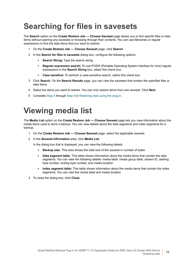# <span id="page-14-0"></span>**Searching for files in savesets**

The **Search** option on the **Create Restore Job — Choose Saveset** page allows you to find specific files or data items without opening any savesets or browsing through their contents. You can use filenames or regular expressions to find the data items that you want to restore.

- 1 On the **Create Restore Job Choose Saveset** page, click **Search**.
- 2 In the **Search for files in savesets** dialog box, configure the following options:
	- **Search String:** Type the search string.
	- **▪ Regular expression search:** To use POSIX (Portable Operating System Interface for Unix) regular expressions in the **Search String** box, select this check box.
	- **▪ Case sensitive:** To perform a case-sensitive search, select this check box.
- 3 Click **Search**. On the **Search Results** page, you can view the savesets that contain the specified files or data items.
- 4 Select the items you want to restore. You can only restore items from one saveset. Click **Next**.
- 5 Complete [Step 5](#page-11-1) through [Step 9](#page-12-1) in [Restoring data using the plug-in](#page-10-1).

# <span id="page-14-1"></span>**Viewing media list**

The **Media List** option on the **Create Restore Job — Choose Saveset** page lets you view information about the media items used to store a backup. You can view details about the data segments and index segments for a backup.

- 1 On the **Create Restore Job Choose Saveset** page, select the applicable saveset.
- 2 In the **Saveset Information** area, click **Media List**.

In the dialog box that is displayed, you can view the following details:

- **▪ Backup size:** This area shows the total size of the saveset in number of bytes
- **Data segment table:** This table shows information about the media items that contain the data segments. You can view the following details: media label, media group label, stream ID, starting byte number, ending byte number, and media location
- **Index segment table:** This table shows information about the media items that contain the index segments. You can view the media label and media location.
- 3 To close the dialog box, click **Close**.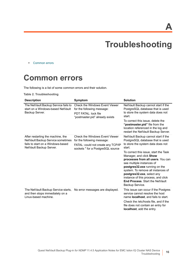**A**

# **Troubleshooting**

<span id="page-15-0"></span>**•** [Common errors](#page-15-1)

### <span id="page-15-1"></span>**Common errors**

The following is a list of some common errors and their solution.

**Table 2. Troubleshooting**

| <b>Description</b>                                                                                                                     | Symptom                                                                                                                                        | <b>Solution</b>                                                                                                                                                                                                                                                                                                                                                                                                                                                       |
|----------------------------------------------------------------------------------------------------------------------------------------|------------------------------------------------------------------------------------------------------------------------------------------------|-----------------------------------------------------------------------------------------------------------------------------------------------------------------------------------------------------------------------------------------------------------------------------------------------------------------------------------------------------------------------------------------------------------------------------------------------------------------------|
| The NetVault Backup Service fails to<br>start on a Windows-based NetVault<br>Backup Server.                                            | <b>Check the Windows Event Viewer</b><br>for the following message:<br>PDT FATAL: lock file<br>"postmaster.pid" already exists                 | NetVault Backup cannot start if the<br>PostgreSQL database that is used<br>to store the system data does not<br>start.<br>To correct this issue, delete the<br>"postmaster.pid" file from the<br>location referenced in the log and<br>restart the NetVault Backup Server.                                                                                                                                                                                            |
| After restarting the machine, the<br>NetVault Backup Service sometimes<br>fails to start on a Windows-based<br>NetVault Backup Server. | <b>Check the Windows Event Viewer</b><br>for the following message:<br>FATAL: could not create any TCP/IP<br>sockets " for a PostgreSQL source | NetVault Backup cannot start if the<br>PostgreSQL database that is used<br>to store the system data does not<br>start.<br>To correct this issue, start the Task<br>Manager, and click Show<br>processes from all users. You can<br>see multiple instances of<br>postgres32.exe running on the<br>system. To remove all instances of<br>postgres32.exe, select any<br>instance of this process, and click<br><b>End Process. Start the NetVault</b><br>Backup Service. |
| The NetVault Backup Service starts,<br>and then stops immediately on a<br>Linux-based machine.                                         | No error messages are displayed.                                                                                                               | This issue can occur if the Postgres<br>service cannot resolve the host<br>name <b>localhost</b> , and fails to start.<br>Check the /etc/hosts file, and if the<br>file does not contain an entry for<br>localhost, add the entry.                                                                                                                                                                                                                                    |